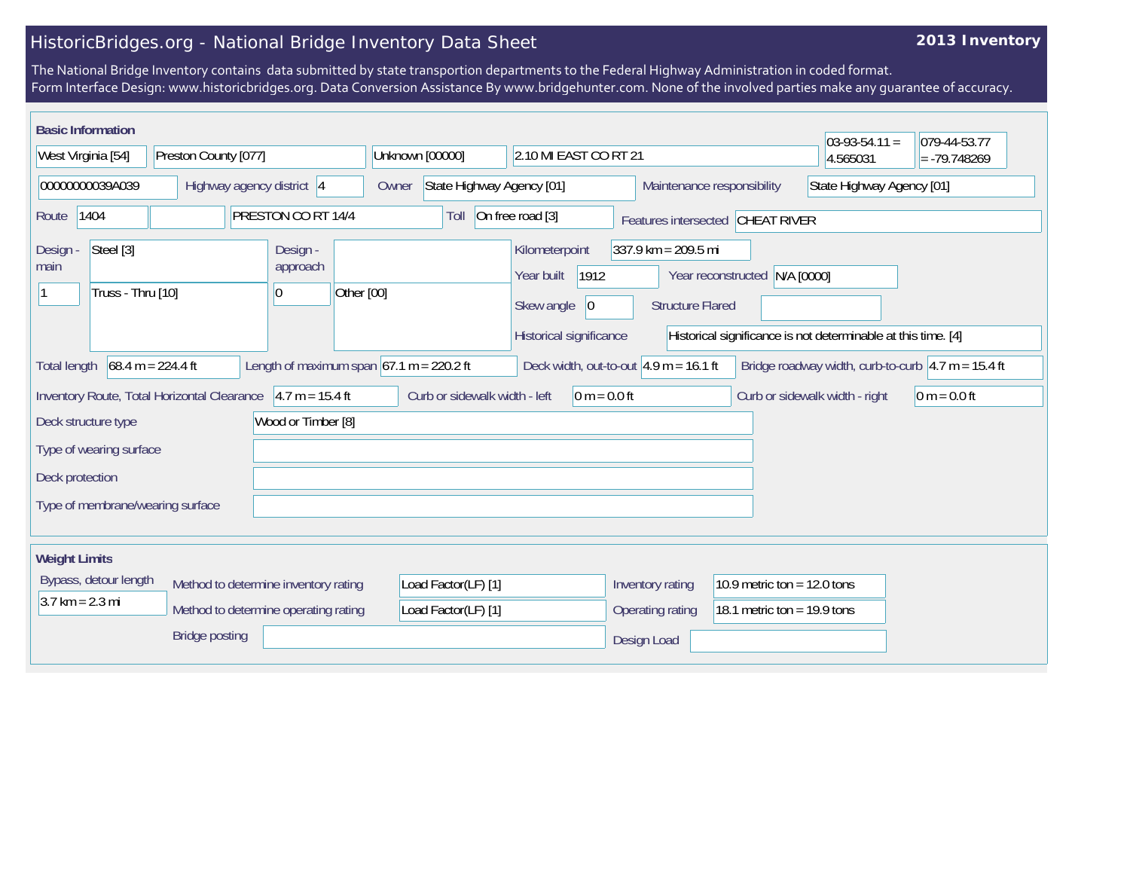## HistoricBridges.org - National Bridge Inventory Data Sheet

## **2013 Inventory**

The National Bridge Inventory contains data submitted by state transportion departments to the Federal Highway Administration in coded format. Form Interface Design: www.historicbridges.org. Data Conversion Assistance By www.bridgehunter.com. None of the involved parties make any guarantee of accuracy.

| <b>Basic Information</b><br>West Virginia [54]<br>Preston County [077] |                                                                                                                                                                                                                                                                                                                                                                                                    |                                  |                      |                                                              | Unknown [00000] |                                                  | 2.10 MI EAST CO RT 21                                                                     |                                      | $03-93-54.11 =$<br>4.565031                                    | 079-44-53.77<br>$= -79.748269$ |  |
|------------------------------------------------------------------------|----------------------------------------------------------------------------------------------------------------------------------------------------------------------------------------------------------------------------------------------------------------------------------------------------------------------------------------------------------------------------------------------------|----------------------------------|----------------------|--------------------------------------------------------------|-----------------|--------------------------------------------------|-------------------------------------------------------------------------------------------|--------------------------------------|----------------------------------------------------------------|--------------------------------|--|
| 00000000039A039                                                        |                                                                                                                                                                                                                                                                                                                                                                                                    | Highway agency district 4        |                      |                                                              | Owner           |                                                  | State Highway Agency [01]                                                                 |                                      | Maintenance responsibility                                     | State Highway Agency [01]      |  |
| 1404<br>PRESTON CO RT 14/4<br>Route                                    |                                                                                                                                                                                                                                                                                                                                                                                                    |                                  |                      | On free road [3]<br>Toll<br>Features intersected CHEAT RIVER |                 |                                                  |                                                                                           |                                      |                                                                |                                |  |
| Steel [3]<br>Design -<br>main<br>Truss - Thru [10]<br>10               |                                                                                                                                                                                                                                                                                                                                                                                                    |                                  | Design -<br>approach | Other [00]                                                   |                 | Kilometerpoint<br>Year built<br>Skew angle<br> 0 | $337.9$ km = 209.5 mi<br>1912<br>Year reconstructed N/A [0000]<br><b>Structure Flared</b> |                                      |                                                                |                                |  |
|                                                                        | Historical significance<br>Historical significance is not determinable at this time. [4]                                                                                                                                                                                                                                                                                                           |                                  |                      |                                                              |                 |                                                  |                                                                                           |                                      |                                                                |                                |  |
|                                                                        | Length of maximum span $67.1$ m = 220.2 ft<br>$68.4 m = 224.4 ft$<br>Deck width, out-to-out $ 4.9 \text{ m} = 16.1 \text{ ft}$<br>Bridge roadway width, curb-to-curb $ 4.7 \text{ m} = 15.4 \text{ ft}$<br>Total length<br>Inventory Route, Total Horizontal Clearance<br>$4.7 m = 15.4 ft$<br>Curb or sidewalk width - left<br>$0 m = 0.0 ft$<br>Curb or sidewalk width - right<br>$0 m = 0.0 ft$ |                                  |                      |                                                              |                 |                                                  |                                                                                           |                                      |                                                                |                                |  |
| Deck structure type<br>Deck protection                                 | Type of wearing surface                                                                                                                                                                                                                                                                                                                                                                            |                                  |                      | Wood or Timber [8]                                           |                 |                                                  |                                                                                           |                                      |                                                                |                                |  |
|                                                                        |                                                                                                                                                                                                                                                                                                                                                                                                    | Type of membrane/wearing surface |                      |                                                              |                 |                                                  |                                                                                           |                                      |                                                                |                                |  |
| <b>Weight Limits</b><br>$3.7 \text{ km} = 2.3 \text{ mi}$              | Bypass, detour length                                                                                                                                                                                                                                                                                                                                                                              |                                  |                      | Method to determine inventory rating                         |                 | Load Factor(LF) [1]<br>Load Factor(LF) [1]       |                                                                                           | Inventory rating<br>Operating rating | 10.9 metric ton = $12.0$ tons<br>18.1 metric ton = $19.9$ tons |                                |  |
| Method to determine operating rating<br><b>Bridge posting</b>          |                                                                                                                                                                                                                                                                                                                                                                                                    |                                  |                      |                                                              |                 |                                                  | Design Load                                                                               |                                      |                                                                |                                |  |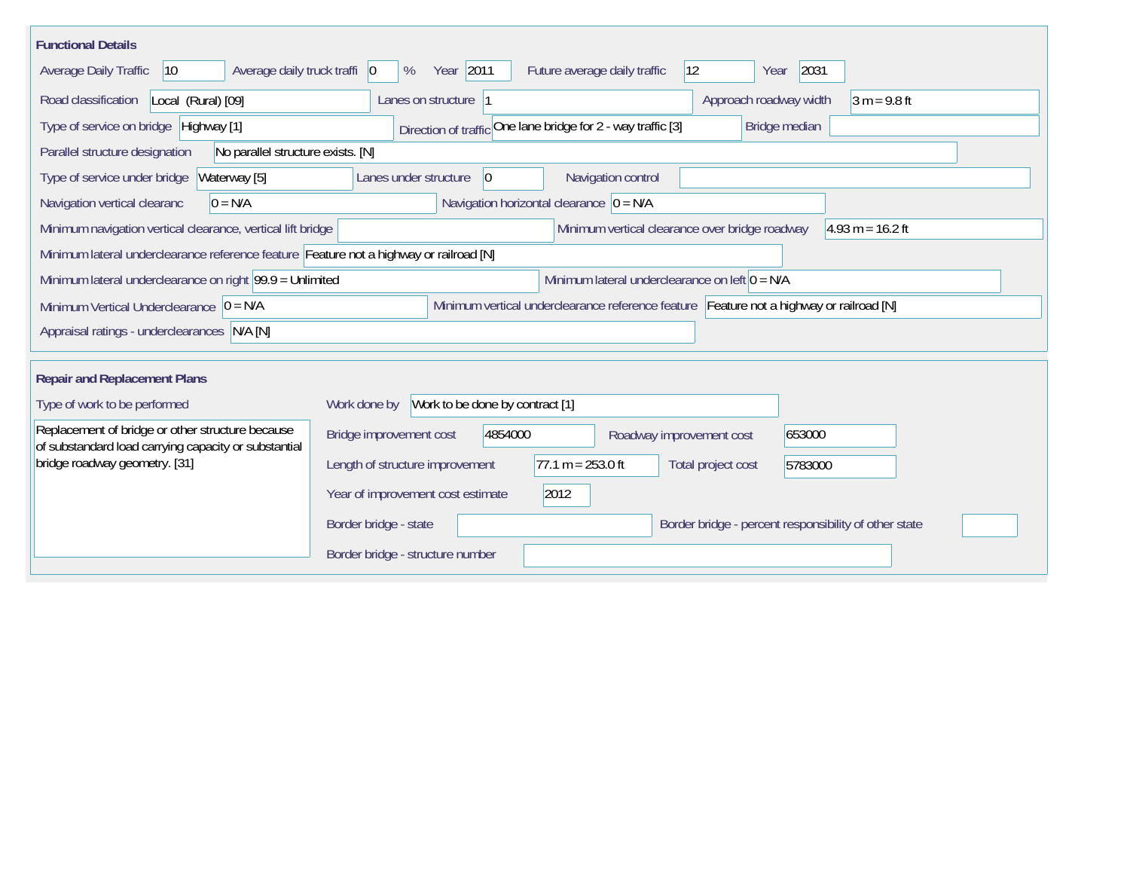| <b>Functional Details</b>                                                                                              |                                           |                                 |                                                |                                                                                         |                    |  |  |  |  |
|------------------------------------------------------------------------------------------------------------------------|-------------------------------------------|---------------------------------|------------------------------------------------|-----------------------------------------------------------------------------------------|--------------------|--|--|--|--|
| Average daily truck traffi 0<br>Average Daily Traffic<br>$ 10\rangle$                                                  | Year 2011<br>%                            |                                 | $ 12\rangle$<br>Future average daily traffic   | 2031<br>Year                                                                            |                    |  |  |  |  |
| Road classification<br>Local (Rural) [09]                                                                              | Lanes on structure  1                     |                                 |                                                | Approach roadway width                                                                  | $3 m = 9.8 ft$     |  |  |  |  |
| Type of service on bridge Highway [1]<br>Direction of traffic One lane bridge for 2 - way traffic [3]<br>Bridge median |                                           |                                 |                                                |                                                                                         |                    |  |  |  |  |
| Parallel structure designation<br>No parallel structure exists. [N]                                                    |                                           |                                 |                                                |                                                                                         |                    |  |  |  |  |
| Type of service under bridge<br>Waterway [5]                                                                           | Lanes under structure                     | 0                               | Navigation control                             |                                                                                         |                    |  |  |  |  |
| Navigation horizontal clearance $ 0 = N/A$<br>Navigation vertical clearanc<br>$0 = N/A$                                |                                           |                                 |                                                |                                                                                         |                    |  |  |  |  |
| Minimum navigation vertical clearance, vertical lift bridge                                                            |                                           |                                 | Minimum vertical clearance over bridge roadway |                                                                                         | $4.93 m = 16.2 ft$ |  |  |  |  |
| Minimum lateral underclearance reference feature Feature not a highway or railroad [N]                                 |                                           |                                 |                                                |                                                                                         |                    |  |  |  |  |
| Minimum lateral underclearance on right $99.9 =$ Unlimited<br>Minimum lateral underclearance on left $0 = N/A$         |                                           |                                 |                                                |                                                                                         |                    |  |  |  |  |
| Minimum Vertical Underclearance $ 0 = N/A$                                                                             |                                           |                                 |                                                | Minimum vertical underclearance reference feature Feature not a highway or railroad [N] |                    |  |  |  |  |
| Appraisal ratings - underclearances N/A [N]                                                                            |                                           |                                 |                                                |                                                                                         |                    |  |  |  |  |
|                                                                                                                        |                                           |                                 |                                                |                                                                                         |                    |  |  |  |  |
| <b>Repair and Replacement Plans</b>                                                                                    |                                           |                                 |                                                |                                                                                         |                    |  |  |  |  |
| Type of work to be performed                                                                                           | Work done by                              | Work to be done by contract [1] |                                                |                                                                                         |                    |  |  |  |  |
| Replacement of bridge or other structure because<br>of substandard load carrying capacity or substantial               | Bridge improvement cost                   | 4854000                         | Roadway improvement cost                       | 653000                                                                                  |                    |  |  |  |  |
| bridge roadway geometry. [31]                                                                                          | Length of structure improvement           | $77.1 m = 253.0 ft$             |                                                | Total project cost<br>5783000                                                           |                    |  |  |  |  |
|                                                                                                                        | Year of improvement cost estimate<br>2012 |                                 |                                                |                                                                                         |                    |  |  |  |  |
|                                                                                                                        | Border bridge - state                     |                                 |                                                | Border bridge - percent responsibility of other state                                   |                    |  |  |  |  |
|                                                                                                                        | Border bridge - structure number          |                                 |                                                |                                                                                         |                    |  |  |  |  |